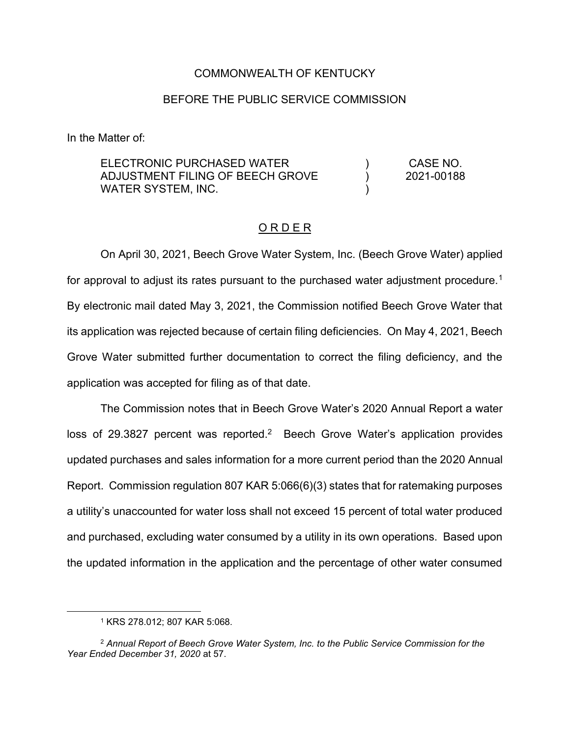### COMMONWEALTH OF KENTUCKY

### BEFORE THE PUBLIC SERVICE COMMISSION

In the Matter of:

| ELECTRONIC PURCHASED WATER       | CASE NO.   |
|----------------------------------|------------|
| ADJUSTMENT FILING OF BEECH GROVE | 2021-00188 |
| WATER SYSTEM, INC.               |            |

## O R D E R

On April 30, 2021, Beech Grove Water System, Inc. (Beech Grove Water) applied for approval to adjust its rates pursuant to the purchased water adjustment procedure.<sup>1</sup> By electronic mail dated May 3, 2021, the Commission notified Beech Grove Water that its application was rejected because of certain filing deficiencies. On May 4, 2021, Beech Grove Water submitted further documentation to correct the filing deficiency, and the application was accepted for filing as of that date.

The Commission notes that in Beech Grove Water's 2020 Annual Report a water loss of 29.3827 percent was reported.<sup>2</sup> Beech Grove Water's application provides updated purchases and sales information for a more current period than the 2020 Annual Report. Commission regulation 807 KAR 5:066(6)(3) states that for ratemaking purposes a utility's unaccounted for water loss shall not exceed 15 percent of total water produced and purchased, excluding water consumed by a utility in its own operations. Based upon the updated information in the application and the percentage of other water consumed

<sup>1</sup> KRS 278.012; 807 KAR 5:068.

<sup>2</sup> *Annual Report of Beech Grove Water System, Inc. to the Public Service Commission for the Year Ended December 31, 2020* at 57.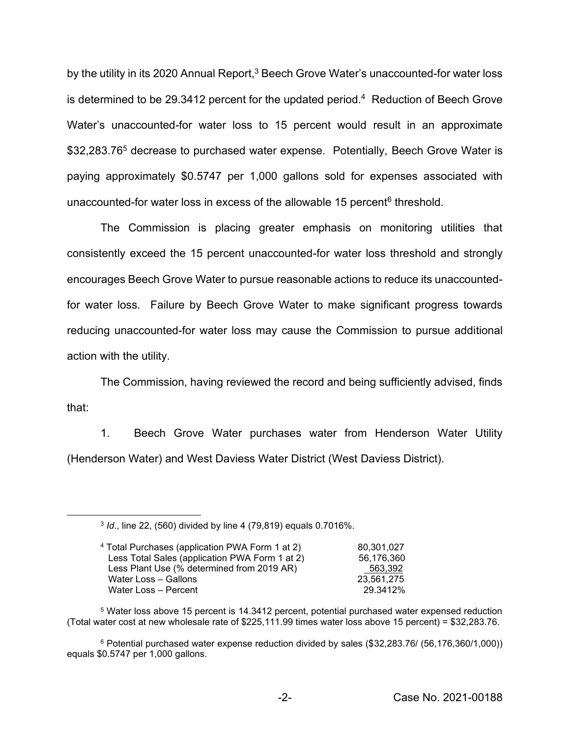by the utility in its 2020 Annual Report,<sup>3</sup> Beech Grove Water's unaccounted-for water loss is determined to be 29.3412 percent for the updated period.<sup>4</sup> Reduction of Beech Grove Water's unaccounted-for water loss to 15 percent would result in an approximate \$32,283.76<sup>5</sup> decrease to purchased water expense. Potentially, Beech Grove Water is paying approximately \$0.5747 per 1,000 gallons sold for expenses associated with unaccounted-for water loss in excess of the allowable 15 percent $6$  threshold.

The Commission is placing greater emphasis on monitoring utilities that consistently exceed the 15 percent unaccounted-for water loss threshold and strongly encourages Beech Grove Water to pursue reasonable actions to reduce its unaccountedfor water loss. Failure by Beech Grove Water to make significant progress towards reducing unaccounted-for water loss may cause the Commission to pursue additional action with the utility.

The Commission, having reviewed the record and being sufficiently advised, finds that:

1. Beech Grove Water purchases water from Henderson Water Utility (Henderson Water) and West Daviess Water District (West Daviess District).

<sup>3</sup> *Id*., line 22, (560) divided by line 4 (79,819) equals 0.7016%.

| <sup>4</sup> Total Purchases (application PWA Form 1 at 2) | 80.301.027 |
|------------------------------------------------------------|------------|
| Less Total Sales (application PWA Form 1 at 2)             | 56.176.360 |
| Less Plant Use (% determined from 2019 AR)                 | 563.392    |
| Water Loss - Gallons                                       | 23.561.275 |
| Water Loss - Percent                                       | 29.3412%   |
|                                                            |            |

<sup>5</sup> Water loss above 15 percent is 14.3412 percent, potential purchased water expensed reduction (Total water cost at new wholesale rate of \$225,111.99 times water loss above 15 percent) = \$32,283.76.

<sup>6</sup> Potential purchased water expense reduction divided by sales (\$32,283.76/ (56,176,360/1,000)) equals \$0.5747 per 1,000 gallons.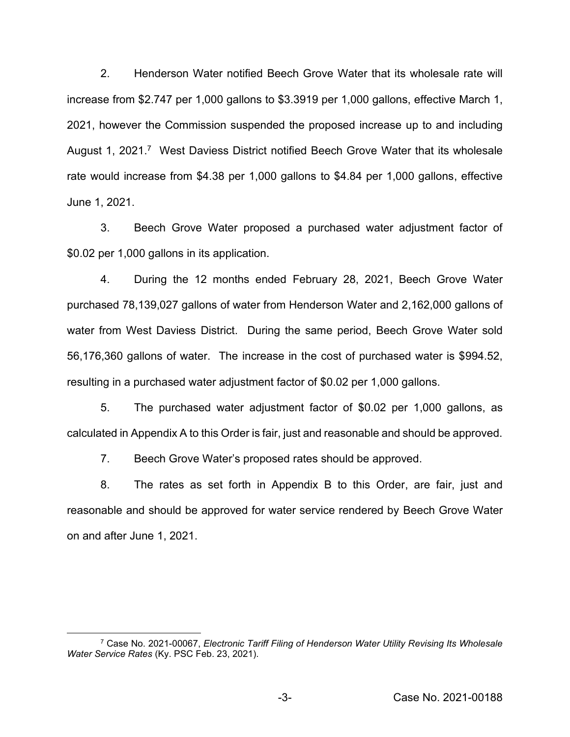2. Henderson Water notified Beech Grove Water that its wholesale rate will increase from \$2.747 per 1,000 gallons to \$3.3919 per 1,000 gallons, effective March 1, 2021, however the Commission suspended the proposed increase up to and including August 1, 2021.<sup>7</sup> West Daviess District notified Beech Grove Water that its wholesale rate would increase from \$4.38 per 1,000 gallons to \$4.84 per 1,000 gallons, effective June 1, 2021.

3. Beech Grove Water proposed a purchased water adjustment factor of \$0.02 per 1,000 gallons in its application.

4. During the 12 months ended February 28, 2021, Beech Grove Water purchased 78,139,027 gallons of water from Henderson Water and 2,162,000 gallons of water from West Daviess District. During the same period, Beech Grove Water sold 56,176,360 gallons of water. The increase in the cost of purchased water is \$994.52, resulting in a purchased water adjustment factor of \$0.02 per 1,000 gallons.

5. The purchased water adjustment factor of \$0.02 per 1,000 gallons, as calculated in Appendix A to this Order is fair, just and reasonable and should be approved.

7. Beech Grove Water's proposed rates should be approved.

8. The rates as set forth in Appendix B to this Order, are fair, just and reasonable and should be approved for water service rendered by Beech Grove Water on and after June 1, 2021.

<sup>7</sup> Case No. 2021-00067, *Electronic Tariff Filing of Henderson Water Utility Revising Its Wholesale Water Service Rates* (Ky. PSC Feb. 23, 2021).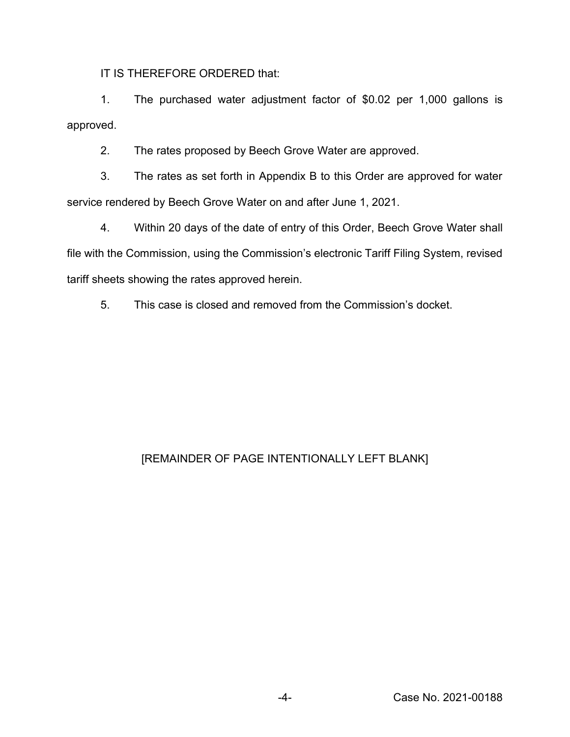IT IS THEREFORE ORDERED that:

1. The purchased water adjustment factor of \$0.02 per 1,000 gallons is approved.

2. The rates proposed by Beech Grove Water are approved.

3. The rates as set forth in Appendix B to this Order are approved for water service rendered by Beech Grove Water on and after June 1, 2021.

4. Within 20 days of the date of entry of this Order, Beech Grove Water shall file with the Commission, using the Commission's electronic Tariff Filing System, revised tariff sheets showing the rates approved herein.

5. This case is closed and removed from the Commission's docket.

# [REMAINDER OF PAGE INTENTIONALLY LEFT BLANK]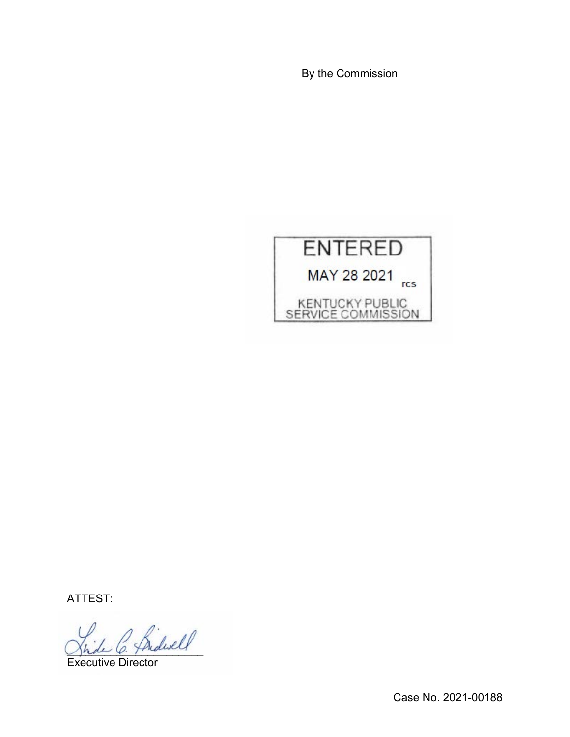By the Commission



ATTEST:

Bidwell

Executive Director

Case No. 2021-00188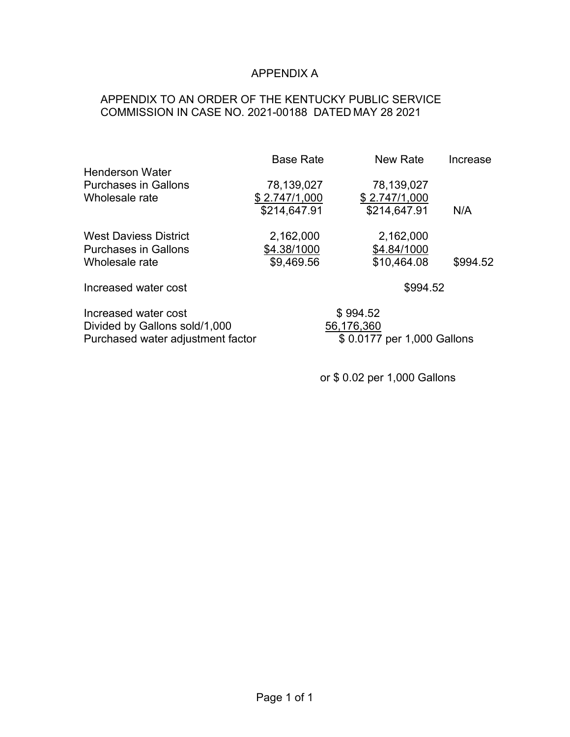## APPENDIX A

# APPENDIX TO AN ORDER OF THE KENTUCKY PUBLIC SERVICE COMMISSION IN CASE NO. 2021-00188 DATED MAY 28 2021

|                             | <b>Base Rate</b> | <b>New Rate</b> | Increase |  |
|-----------------------------|------------------|-----------------|----------|--|
| <b>Henderson Water</b>      |                  |                 |          |  |
| <b>Purchases in Gallons</b> | 78,139,027       | 78,139,027      |          |  |
| Wholesale rate              | \$2.747/1,000    | \$2.747/1,000   |          |  |
|                             | \$214,647.91     | \$214,647.91    | N/A      |  |
| West Daviess District       | 2,162,000        | 2,162,000       |          |  |
| <b>Purchases in Gallons</b> | \$4.38/1000      | \$4.84/1000     |          |  |
| Wholesale rate              | \$9,469.56       | \$10,464.08     | \$994.52 |  |
| Increased water cost        |                  | \$994.52        |          |  |

Increased water cost \$ 994.52<br>Divided by Gallons sold/1,000 56,176,360 Divided by Gallons sold/1,000<br>
Purchased water adjustment factor<br>
\$ 0.0177 per 1,000 Gallons Purchased water adjustment factor

or \$ 0.02 per 1,000 Gallons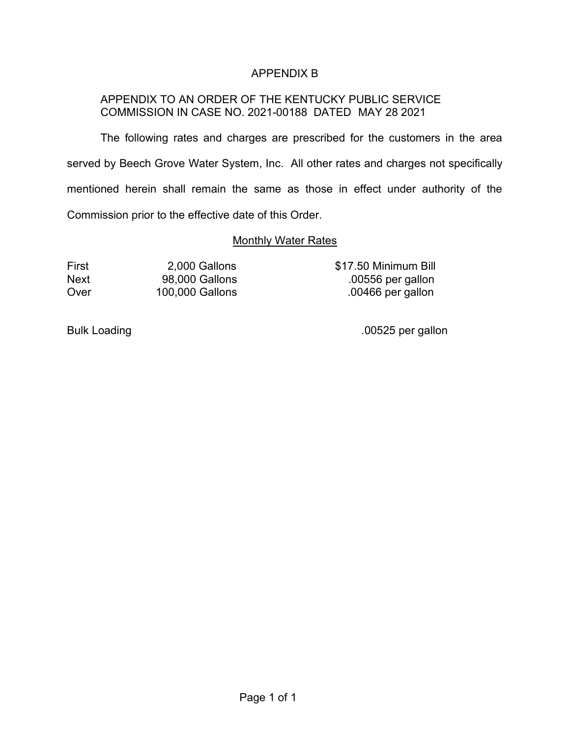# APPENDIX B

# APPENDIX TO AN ORDER OF THE KENTUCKY PUBLIC SERVICE COMMISSION IN CASE NO. 2021-00188 DATED MAY 28 2021

The following rates and charges are prescribed for the customers in the area served by Beech Grove Water System, Inc. All other rates and charges not specifically mentioned herein shall remain the same as those in effect under authority of the Commission prior to the effective date of this Order.

## Monthly Water Rates

First 2,000 Gallons \$17.50 Minimum Bill Next 98,000 Gallons .00556 per gallon Over 100,000 Gallons .00466 per gallon

Bulk Loading ... The contract of the contract of the contract of the contract of the contract of the contract of the contract of the contract of the contract of the contract of the contract of the contract of the contract